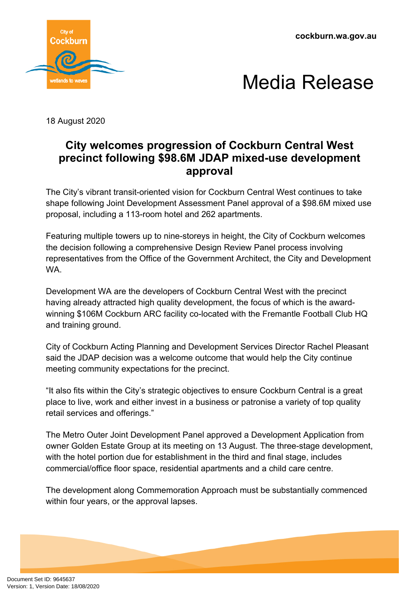**cockburn.wa.gov.au**





18 August 2020

## **City welcomes progression of Cockburn Central West precinct following \$98.6M JDAP mixed-use development approval**

The City's vibrant transit-oriented vision for Cockburn Central West continues to take shape following Joint Development Assessment Panel approval of a \$98.6M mixed use proposal, including a 113-room hotel and 262 apartments.

Featuring multiple towers up to nine-storeys in height, the City of Cockburn welcomes the decision following a comprehensive Design Review Panel process involving representatives from the Office of the Government Architect, the City and Development WA.

Development WA are the developers of Cockburn Central West with the precinct having already attracted high quality development, the focus of which is the awardwinning \$106M Cockburn ARC facility co-located with the Fremantle Football Club HQ and training ground.

City of Cockburn Acting Planning and Development Services Director Rachel Pleasant said the JDAP decision was a welcome outcome that would help the City continue meeting community expectations for the precinct.

"It also fits within the City's strategic objectives to ensure Cockburn Central is a great place to live, work and either invest in a business or patronise a variety of top quality retail services and offerings."

The Metro Outer Joint Development Panel approved a Development Application from owner Golden Estate Group at its meeting on 13 August. The three-stage development, with the hotel portion due for establishment in the third and final stage, includes commercial/office floor space, residential apartments and a child care centre.

The development along Commemoration Approach must be substantially commenced within four years, or the approval lapses.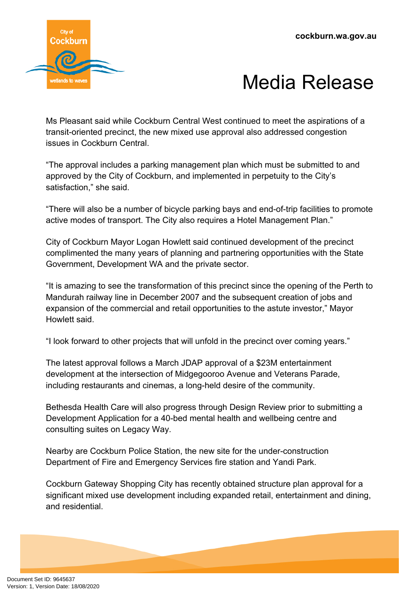

## Media Release

Ms Pleasant said while Cockburn Central West continued to meet the aspirations of a transit-oriented precinct, the new mixed use approval also addressed congestion issues in Cockburn Central.

"The approval includes a parking management plan which must be submitted to and approved by the City of Cockburn, and implemented in perpetuity to the City's satisfaction," she said.

"There will also be a number of bicycle parking bays and end-of-trip facilities to promote active modes of transport. The City also requires a Hotel Management Plan."

City of Cockburn Mayor Logan Howlett said continued development of the precinct complimented the many years of planning and partnering opportunities with the State Government, Development WA and the private sector.

"It is amazing to see the transformation of this precinct since the opening of the Perth to Mandurah railway line in December 2007 and the subsequent creation of jobs and expansion of the commercial and retail opportunities to the astute investor," Mayor Howlett said.

"I look forward to other projects that will unfold in the precinct over coming years."

The latest approval follows a March JDAP approval of a \$23M entertainment development at the intersection of Midgegooroo Avenue and Veterans Parade, including restaurants and cinemas, a long-held desire of the community.

Bethesda Health Care will also progress through Design Review prior to submitting a Development Application for a 40-bed mental health and wellbeing centre and consulting suites on Legacy Way.

Nearby are Cockburn Police Station, the new site for the under-construction Department of Fire and Emergency Services fire station and Yandi Park.

Cockburn Gateway Shopping City has recently obtained structure plan approval for a significant mixed use development including expanded retail, entertainment and dining, and residential.